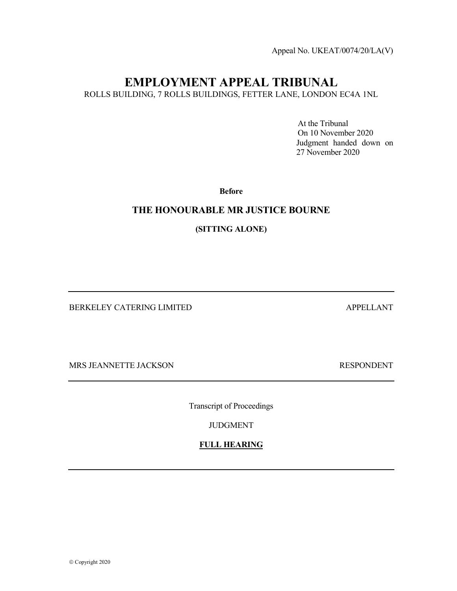Appeal No. UKEAT/0074/20/LA(V)

# EMPLOYMENT APPEAL TRIBUNAL

ROLLS BUILDING, 7 ROLLS BUILDINGS, FETTER LANE, LONDON EC4A 1NL

 At the Tribunal On 10 November 2020 Judgment handed down on 27 November 2020

Before

#### THE HONOURABLE MR JUSTICE BOURNE

(SITTING ALONE)

BERKELEY CATERING LIMITED APPELLANT

MRS JEANNETTE JACKSON RESPONDENT

Transcript of Proceedings

JUDGMENT

FULL HEARING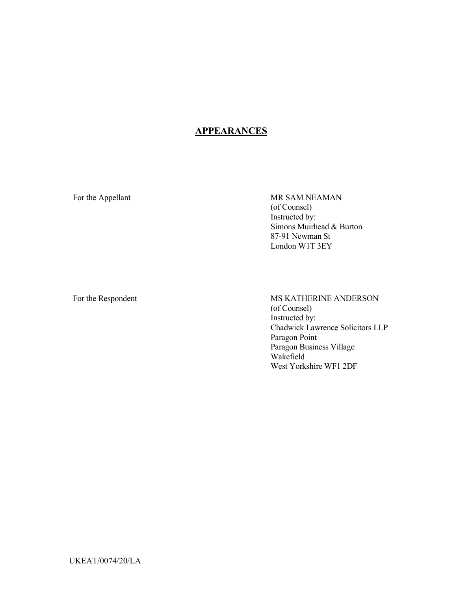# **APPEARANCES**

For the Appellant MR SAM NEAMAN (of Counsel) Instructed by: Simons Muirhead & Burton 87-91 Newman St London W1T 3EY

For the Respondent MS KATHERINE ANDERSON (of Counsel) Instructed by: Chadwick Lawrence Solicitors LLP Paragon Point Paragon Business Village Wakefield West Yorkshire WF1 2DF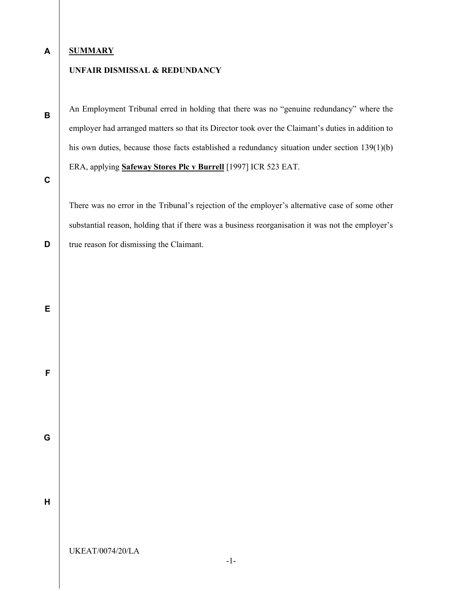#### A **SUMMARY**

### UNFAIR DISMISSAL & REDUNDANCY

An Employment Tribunal erred in holding that there was no "genuine redundancy" where the employer had arranged matters so that its Director took over the Claimant's duties in addition to his own duties, because those facts established a redundancy situation under section 139(1)(b) ERA, applying Safeway Stores Plc v Burrell [1997] ICR 523 EAT.

C

D

B

There was no error in the Tribunal's rejection of the employer's alternative case of some other substantial reason, holding that if there was a business reorganisation it was not the employer's true reason for dismissing the Claimant.

E

F

G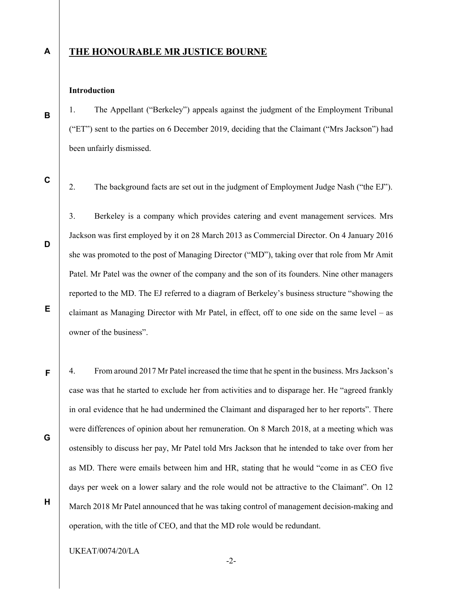#### A

B

#### THE HONOURABLE MR JUSTICE BOURNE

#### Introduction

1. The Appellant ("Berkeley") appeals against the judgment of the Employment Tribunal ("ET") sent to the parties on 6 December 2019, deciding that the Claimant ("Mrs Jackson") had been unfairly dismissed.

C

D

E

F

G

H

2. The background facts are set out in the judgment of Employment Judge Nash ("the EJ").

3. Berkeley is a company which provides catering and event management services. Mrs Jackson was first employed by it on 28 March 2013 as Commercial Director. On 4 January 2016 she was promoted to the post of Managing Director ("MD"), taking over that role from Mr Amit Patel. Mr Patel was the owner of the company and the son of its founders. Nine other managers reported to the MD. The EJ referred to a diagram of Berkeley's business structure "showing the claimant as Managing Director with Mr Patel, in effect, off to one side on the same level – as owner of the business".

4. From around 2017 Mr Patel increased the time that he spent in the business. Mrs Jackson's case was that he started to exclude her from activities and to disparage her. He "agreed frankly in oral evidence that he had undermined the Claimant and disparaged her to her reports". There were differences of opinion about her remuneration. On 8 March 2018, at a meeting which was ostensibly to discuss her pay, Mr Patel told Mrs Jackson that he intended to take over from her as MD. There were emails between him and HR, stating that he would "come in as CEO five days per week on a lower salary and the role would not be attractive to the Claimant". On 12 March 2018 Mr Patel announced that he was taking control of management decision-making and operation, with the title of CEO, and that the MD role would be redundant.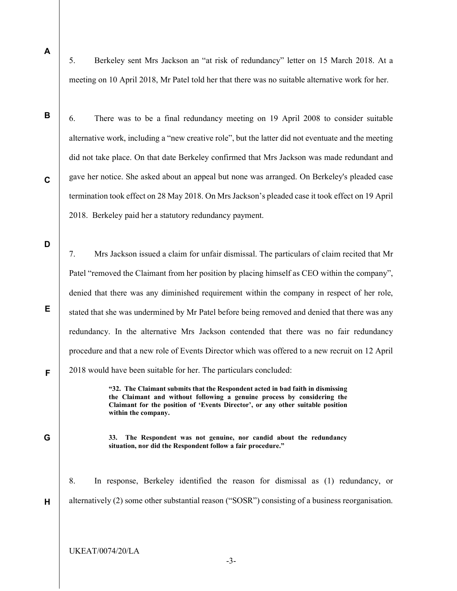A

5. Berkeley sent Mrs Jackson an "at risk of redundancy" letter on 15 March 2018. At a meeting on 10 April 2018, Mr Patel told her that there was no suitable alternative work for her.

C

B

6. There was to be a final redundancy meeting on 19 April 2008 to consider suitable alternative work, including a "new creative role", but the latter did not eventuate and the meeting did not take place. On that date Berkeley confirmed that Mrs Jackson was made redundant and gave her notice. She asked about an appeal but none was arranged. On Berkeley's pleaded case termination took effect on 28 May 2018. On Mrs Jackson's pleaded case it took effect on 19 April 2018. Berkeley paid her a statutory redundancy payment.

D

E

F

7. Mrs Jackson issued a claim for unfair dismissal. The particulars of claim recited that Mr Patel "removed the Claimant from her position by placing himself as CEO within the company", denied that there was any diminished requirement within the company in respect of her role, stated that she was undermined by Mr Patel before being removed and denied that there was any redundancy. In the alternative Mrs Jackson contended that there was no fair redundancy procedure and that a new role of Events Director which was offered to a new recruit on 12 April 2018 would have been suitable for her. The particulars concluded:

> "32. The Claimant submits that the Respondent acted in bad faith in dismissing the Claimant and without following a genuine process by considering the Claimant for the position of 'Events Director', or any other suitable position within the company.

## G

H

33. The Respondent was not genuine, nor candid about the redundancy situation, nor did the Respondent follow a fair procedure."

8. In response, Berkeley identified the reason for dismissal as (1) redundancy, or alternatively (2) some other substantial reason ("SOSR") consisting of a business reorganisation.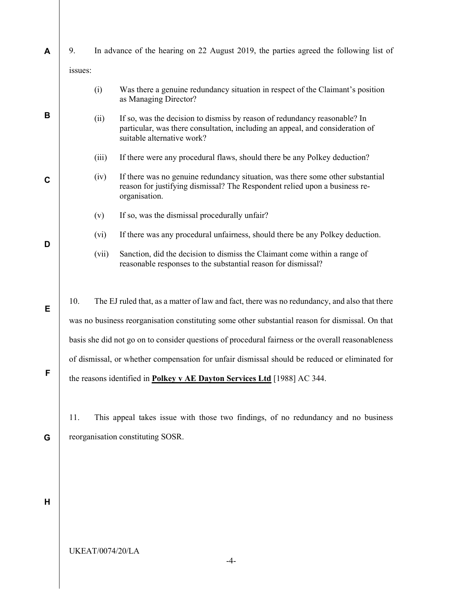| A           | 9.                                |       | In advance of the hearing on 22 August 2019, the parties agreed the following list of                                                                                                    |  |  |
|-------------|-----------------------------------|-------|------------------------------------------------------------------------------------------------------------------------------------------------------------------------------------------|--|--|
|             | issues:                           |       |                                                                                                                                                                                          |  |  |
| B           |                                   | (i)   | Was there a genuine redundancy situation in respect of the Claimant's position<br>as Managing Director?                                                                                  |  |  |
|             |                                   | (ii)  | If so, was the decision to dismiss by reason of redundancy reasonable? In<br>particular, was there consultation, including an appeal, and consideration of<br>suitable alternative work? |  |  |
|             |                                   | (iii) | If there were any procedural flaws, should there be any Polkey deduction?                                                                                                                |  |  |
| $\mathbf C$ |                                   | (iv)  | If there was no genuine redundancy situation, was there some other substantial<br>reason for justifying dismissal? The Respondent relied upon a business re-<br>organisation.            |  |  |
|             |                                   | (v)   | If so, was the dismissal procedurally unfair?                                                                                                                                            |  |  |
|             |                                   | (vi)  | If there was any procedural unfairness, should there be any Polkey deduction.                                                                                                            |  |  |
| D           |                                   | (vii) | Sanction, did the decision to dismiss the Claimant come within a range of<br>reasonable responses to the substantial reason for dismissal?                                               |  |  |
| Е           | 10.                               |       |                                                                                                                                                                                          |  |  |
|             |                                   |       | The EJ ruled that, as a matter of law and fact, there was no redundancy, and also that there                                                                                             |  |  |
|             |                                   |       | was no business reorganisation constituting some other substantial reason for dismissal. On that                                                                                         |  |  |
|             |                                   |       | basis she did not go on to consider questions of procedural fairness or the overall reasonableness                                                                                       |  |  |
| F           |                                   |       | of dismissal, or whether compensation for unfair dismissal should be reduced or eliminated for<br>the reasons identified in Polkey v AE Dayton Services Ltd [1988] AC 344.               |  |  |
|             |                                   |       |                                                                                                                                                                                          |  |  |
|             | 11.                               |       | This appeal takes issue with those two findings, of no redundancy and no business                                                                                                        |  |  |
| G           | reorganisation constituting SOSR. |       |                                                                                                                                                                                          |  |  |
|             |                                   |       |                                                                                                                                                                                          |  |  |
|             |                                   |       |                                                                                                                                                                                          |  |  |
|             |                                   |       |                                                                                                                                                                                          |  |  |
| Н           |                                   |       |                                                                                                                                                                                          |  |  |
|             |                                   |       |                                                                                                                                                                                          |  |  |
|             |                                   |       | <b>UKEAT/0074/20/LA</b><br>-4-                                                                                                                                                           |  |  |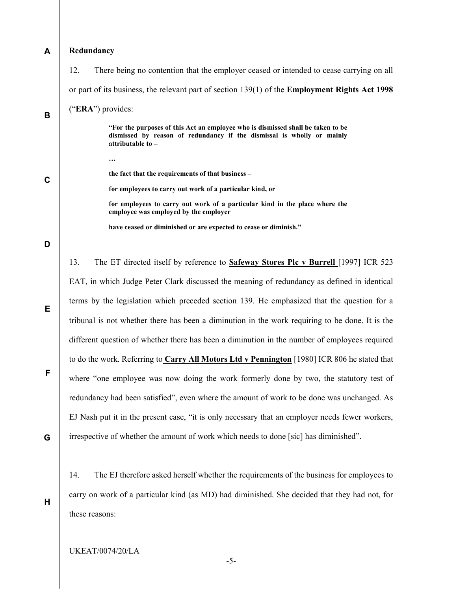| A           | Redundancy                                                                                              |                                                                                                                                                                                  |  |  |  |
|-------------|---------------------------------------------------------------------------------------------------------|----------------------------------------------------------------------------------------------------------------------------------------------------------------------------------|--|--|--|
|             | 12.                                                                                                     | There being no contention that the employer ceased or intended to cease carrying on all                                                                                          |  |  |  |
|             | or part of its business, the relevant part of section $139(1)$ of the <b>Employment Rights Act 1998</b> |                                                                                                                                                                                  |  |  |  |
| B           | ("ERA") provides:                                                                                       |                                                                                                                                                                                  |  |  |  |
|             |                                                                                                         | "For the purposes of this Act an employee who is dismissed shall be taken to be<br>dismissed by reason of redundancy if the dismissal is wholly or mainly<br>attributable to $-$ |  |  |  |
| $\mathbf C$ |                                                                                                         | $\cdots$                                                                                                                                                                         |  |  |  |
|             |                                                                                                         | the fact that the requirements of that business -                                                                                                                                |  |  |  |
|             |                                                                                                         | for employees to carry out work of a particular kind, or                                                                                                                         |  |  |  |
|             |                                                                                                         | for employees to carry out work of a particular kind in the place where the<br>employee was employed by the employer                                                             |  |  |  |
|             |                                                                                                         | have ceased or diminished or are expected to cease or diminish."                                                                                                                 |  |  |  |
| D           |                                                                                                         |                                                                                                                                                                                  |  |  |  |
|             | 13.                                                                                                     | The ET directed itself by reference to <b>Safeway Stores Plc v Burrell</b> [1997] ICR 523                                                                                        |  |  |  |
| E           | EAT, in which Judge Peter Clark discussed the meaning of redundancy as defined in identical             |                                                                                                                                                                                  |  |  |  |
|             | terms by the legislation which preceded section 139. He emphasized that the question for a              |                                                                                                                                                                                  |  |  |  |
|             | tribunal is not whether there has been a diminution in the work requiring to be done. It is the         |                                                                                                                                                                                  |  |  |  |
|             |                                                                                                         | different question of whether there has been a diminution in the number of employees required                                                                                    |  |  |  |

F

G

H

14. The EJ therefore asked herself whether the requirements of the business for employees to carry on work of a particular kind (as MD) had diminished. She decided that they had not, for these reasons:

to do the work. Referring to Carry All Motors Ltd v Pennington [1980] ICR 806 he stated that

where "one employee was now doing the work formerly done by two, the statutory test of

redundancy had been satisfied", even where the amount of work to be done was unchanged. As

EJ Nash put it in the present case, "it is only necessary that an employer needs fewer workers,

irrespective of whether the amount of work which needs to done [sic] has diminished".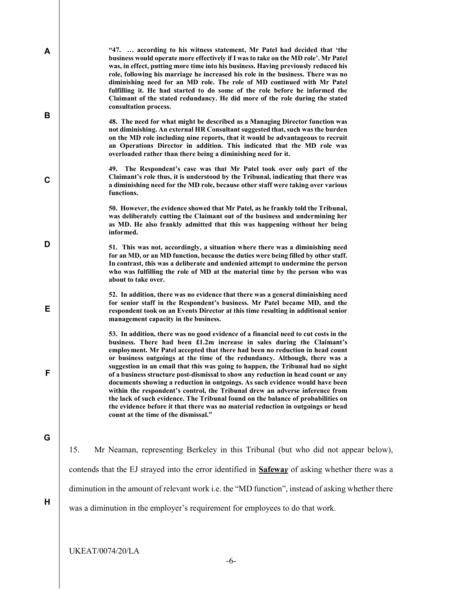| A |                                                                                                   | "47.  according to his witness statement, Mr Patel had decided that 'the<br>business would operate more effectively if I was to take on the MD role'. Mr Patel<br>was, in effect, putting more time into his business. Having previously reduced his<br>role, following his marriage he increased his role in the business. There was no<br>diminishing need for an MD role. The role of MD continued with Mr Patel<br>fulfilling it. He had started to do some of the role before he informed the<br>Claimant of the stated redundancy. He did more of the role during the stated<br>consultation process.                                                                                                                                                                                                                                                                         |  |  |  |
|---|---------------------------------------------------------------------------------------------------|-------------------------------------------------------------------------------------------------------------------------------------------------------------------------------------------------------------------------------------------------------------------------------------------------------------------------------------------------------------------------------------------------------------------------------------------------------------------------------------------------------------------------------------------------------------------------------------------------------------------------------------------------------------------------------------------------------------------------------------------------------------------------------------------------------------------------------------------------------------------------------------|--|--|--|
| B |                                                                                                   | 48. The need for what might be described as a Managing Director function was<br>not diminishing. An external HR Consultant suggested that, such was the burden<br>on the MD role including nine reports, that it would be advantageous to recruit<br>an Operations Director in addition. This indicated that the MD role was<br>overloaded rather than there being a diminishing need for it.                                                                                                                                                                                                                                                                                                                                                                                                                                                                                       |  |  |  |
| C |                                                                                                   | 49. The Respondent's case was that Mr Patel took over only part of the<br>Claimant's role thus, it is understood by the Tribunal, indicating that there was<br>a diminishing need for the MD role, because other staff were taking over various<br>functions.                                                                                                                                                                                                                                                                                                                                                                                                                                                                                                                                                                                                                       |  |  |  |
|   |                                                                                                   | 50. However, the evidence showed that Mr Patel, as he frankly told the Tribunal,<br>was deliberately cutting the Claimant out of the business and undermining her<br>as MD. He also frankly admitted that this was happening without her being<br>informed.                                                                                                                                                                                                                                                                                                                                                                                                                                                                                                                                                                                                                         |  |  |  |
| D |                                                                                                   | 51. This was not, accordingly, a situation where there was a diminishing need<br>for an MD, or an MD function, because the duties were being filled by other staff.<br>In contrast, this was a deliberate and undenied attempt to undermine the person<br>who was fulfilling the role of MD at the material time by the person who was<br>about to take over.                                                                                                                                                                                                                                                                                                                                                                                                                                                                                                                       |  |  |  |
| Е |                                                                                                   | 52. In addition, there was no evidence that there was a general diminishing need<br>for senior staff in the Respondent's business. Mr Patel became MD, and the<br>respondent took on an Events Director at this time resulting in additional senior<br>management capacity in the business.                                                                                                                                                                                                                                                                                                                                                                                                                                                                                                                                                                                         |  |  |  |
| F |                                                                                                   | 53. In addition, there was no good evidence of a financial need to cut costs in the<br>business. There had been £1.2m increase in sales during the Claimant's<br>employment. Mr Patel accepted that there had been no reduction in head count<br>or business outgoings at the time of the redundancy. Although, there was a<br>suggestion in an email that this was going to happen, the Tribunal had no sight<br>of a business structure post-dismissal to show any reduction in head count or any<br>documents showing a reduction in outgoings. As such evidence would have been<br>within the respondent's control, the Tribunal drew an adverse inference from<br>the lack of such evidence. The Tribunal found on the balance of probabilities on<br>the evidence before it that there was no material reduction in outgoings or head<br>count at the time of the dismissal." |  |  |  |
| G |                                                                                                   |                                                                                                                                                                                                                                                                                                                                                                                                                                                                                                                                                                                                                                                                                                                                                                                                                                                                                     |  |  |  |
|   | 15.                                                                                               | Mr Neaman, representing Berkeley in this Tribunal (but who did not appear below),                                                                                                                                                                                                                                                                                                                                                                                                                                                                                                                                                                                                                                                                                                                                                                                                   |  |  |  |
|   |                                                                                                   | contends that the EJ strayed into the error identified in <b>Safeway</b> of asking whether there was a                                                                                                                                                                                                                                                                                                                                                                                                                                                                                                                                                                                                                                                                                                                                                                              |  |  |  |
| H | diminution in the amount of relevant work i.e. the "MD function", instead of asking whether there |                                                                                                                                                                                                                                                                                                                                                                                                                                                                                                                                                                                                                                                                                                                                                                                                                                                                                     |  |  |  |
|   |                                                                                                   | was a diminution in the employer's requirement for employees to do that work.                                                                                                                                                                                                                                                                                                                                                                                                                                                                                                                                                                                                                                                                                                                                                                                                       |  |  |  |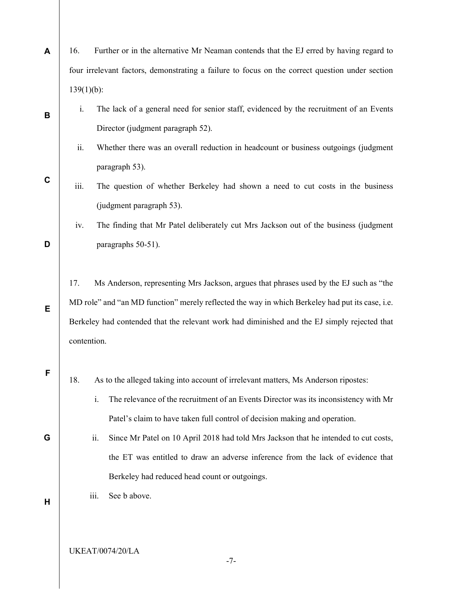| A           | 16.                                                                                             | Further or in the alternative Mr Neaman contends that the EJ erred by having regard to          |  |  |  |  |
|-------------|-------------------------------------------------------------------------------------------------|-------------------------------------------------------------------------------------------------|--|--|--|--|
|             |                                                                                                 | four irrelevant factors, demonstrating a failure to focus on the correct question under section |  |  |  |  |
|             | $139(1)(b)$ :                                                                                   |                                                                                                 |  |  |  |  |
| В           | i.                                                                                              | The lack of a general need for senior staff, evidenced by the recruitment of an Events          |  |  |  |  |
|             |                                                                                                 | Director (judgment paragraph 52).                                                               |  |  |  |  |
|             | ii.                                                                                             | Whether there was an overall reduction in headcount or business outgoings (judgment             |  |  |  |  |
| $\mathbf c$ |                                                                                                 | paragraph 53).                                                                                  |  |  |  |  |
|             | iii.                                                                                            | The question of whether Berkeley had shown a need to cut costs in the business                  |  |  |  |  |
|             |                                                                                                 | (judgment paragraph 53).                                                                        |  |  |  |  |
|             | iv.                                                                                             | The finding that Mr Patel deliberately cut Mrs Jackson out of the business (judgment            |  |  |  |  |
| D           |                                                                                                 | paragraphs 50-51).                                                                              |  |  |  |  |
|             |                                                                                                 |                                                                                                 |  |  |  |  |
|             | Ms Anderson, representing Mrs Jackson, argues that phrases used by the EJ such as "the<br>17.   |                                                                                                 |  |  |  |  |
| E           | MD role" and "an MD function" merely reflected the way in which Berkeley had put its case, i.e. |                                                                                                 |  |  |  |  |
|             | Berkeley had contended that the relevant work had diminished and the EJ simply rejected that    |                                                                                                 |  |  |  |  |
|             | contention.                                                                                     |                                                                                                 |  |  |  |  |
| F           |                                                                                                 |                                                                                                 |  |  |  |  |
|             | 18.                                                                                             | As to the alleged taking into account of irrelevant matters, Ms Anderson ripostes:              |  |  |  |  |
|             |                                                                                                 | The relevance of the recruitment of an Events Director was its inconsistency with Mr<br>i.      |  |  |  |  |
|             |                                                                                                 | Patel's claim to have taken full control of decision making and operation.                      |  |  |  |  |
| G           |                                                                                                 | ii.<br>Since Mr Patel on 10 April 2018 had told Mrs Jackson that he intended to cut costs,      |  |  |  |  |
|             |                                                                                                 | the ET was entitled to draw an adverse inference from the lack of evidence that                 |  |  |  |  |
|             |                                                                                                 | Berkeley had reduced head count or outgoings.                                                   |  |  |  |  |
| Н           |                                                                                                 | See b above.<br>iii.                                                                            |  |  |  |  |
|             |                                                                                                 |                                                                                                 |  |  |  |  |
|             |                                                                                                 |                                                                                                 |  |  |  |  |

UKEAT/0074/20/LA

-7-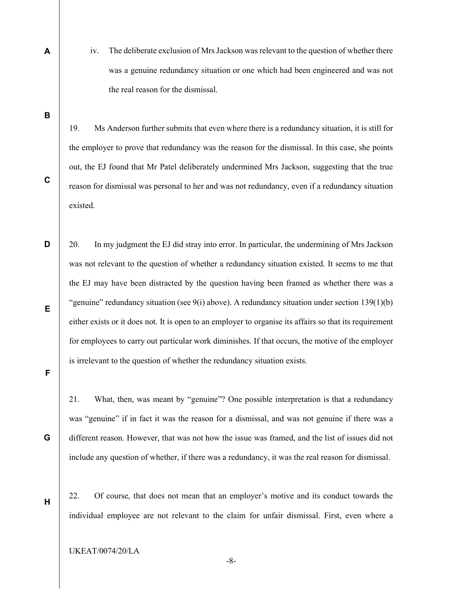A

iv. The deliberate exclusion of Mrs Jackson was relevant to the question of whether there was a genuine redundancy situation or one which had been engineered and was not the real reason for the dismissal.

B

C

19. Ms Anderson further submits that even where there is a redundancy situation, it is still for the employer to prove that redundancy was the reason for the dismissal. In this case, she points out, the EJ found that Mr Patel deliberately undermined Mrs Jackson, suggesting that the true reason for dismissal was personal to her and was not redundancy, even if a redundancy situation existed.

D E 20. In my judgment the EJ did stray into error. In particular, the undermining of Mrs Jackson was not relevant to the question of whether a redundancy situation existed. It seems to me that the EJ may have been distracted by the question having been framed as whether there was a "genuine" redundancy situation (see  $9(i)$  above). A redundancy situation under section 139(1)(b) either exists or it does not. It is open to an employer to organise its affairs so that its requirement for employees to carry out particular work diminishes. If that occurs, the motive of the employer is irrelevant to the question of whether the redundancy situation exists.

F

G

H

21. What, then, was meant by "genuine"? One possible interpretation is that a redundancy was "genuine" if in fact it was the reason for a dismissal, and was not genuine if there was a different reason. However, that was not how the issue was framed, and the list of issues did not include any question of whether, if there was a redundancy, it was the real reason for dismissal.

22. Of course, that does not mean that an employer's motive and its conduct towards the individual employee are not relevant to the claim for unfair dismissal. First, even where a

UKEAT/0074/20/LA

-8-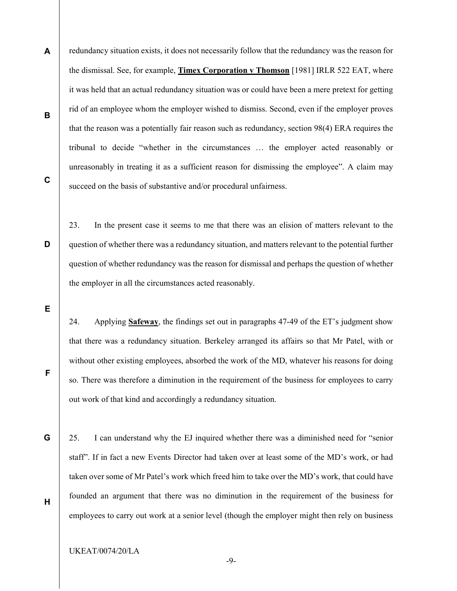- A B C redundancy situation exists, it does not necessarily follow that the redundancy was the reason for the dismissal. See, for example, **Timex Corporation v Thomson** [1981] IRLR 522 EAT, where it was held that an actual redundancy situation was or could have been a mere pretext for getting rid of an employee whom the employer wished to dismiss. Second, even if the employer proves that the reason was a potentially fair reason such as redundancy, section 98(4) ERA requires the tribunal to decide "whether in the circumstances … the employer acted reasonably or unreasonably in treating it as a sufficient reason for dismissing the employee". A claim may succeed on the basis of substantive and/or procedural unfairness.
	- 23. In the present case it seems to me that there was an elision of matters relevant to the question of whether there was a redundancy situation, and matters relevant to the potential further question of whether redundancy was the reason for dismissal and perhaps the question of whether the employer in all the circumstances acted reasonably.

E

F

G

D

24. Applying Safeway, the findings set out in paragraphs 47-49 of the ET's judgment show that there was a redundancy situation. Berkeley arranged its affairs so that Mr Patel, with or without other existing employees, absorbed the work of the MD, whatever his reasons for doing so. There was therefore a diminution in the requirement of the business for employees to carry out work of that kind and accordingly a redundancy situation.

25. I can understand why the EJ inquired whether there was a diminished need for "senior staff". If in fact a new Events Director had taken over at least some of the MD's work, or had taken over some of Mr Patel's work which freed him to take over the MD's work, that could have founded an argument that there was no diminution in the requirement of the business for employees to carry out work at a senior level (though the employer might then rely on business

UKEAT/0074/20/LA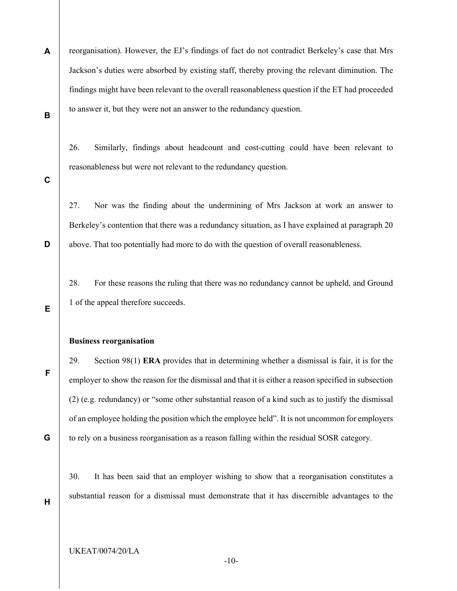A B reorganisation). However, the EJ's findings of fact do not contradict Berkeley's case that Mrs Jackson's duties were absorbed by existing staff, thereby proving the relevant diminution. The findings might have been relevant to the overall reasonableness question if the ET had proceeded to answer it, but they were not an answer to the redundancy question.

26. Similarly, findings about headcount and cost-cutting could have been relevant to reasonableness but were not relevant to the redundancy question.

C

D

E

27. Nor was the finding about the undermining of Mrs Jackson at work an answer to Berkeley's contention that there was a redundancy situation, as I have explained at paragraph 20 above. That too potentially had more to do with the question of overall reasonableness.

28. For these reasons the ruling that there was no redundancy cannot be upheld, and Ground 1 of the appeal therefore succeeds.

#### Business reorganisation

29. Section  $98(1)$  ERA provides that in determining whether a dismissal is fair, it is for the employer to show the reason for the dismissal and that it is either a reason specified in subsection (2) (e.g. redundancy) or "some other substantial reason of a kind such as to justify the dismissal of an employee holding the position which the employee held". It is not uncommon for employers to rely on a business reorganisation as a reason falling within the residual SOSR category.

30. It has been said that an employer wishing to show that a reorganisation constitutes a substantial reason for a dismissal must demonstrate that it has discernible advantages to the

F

G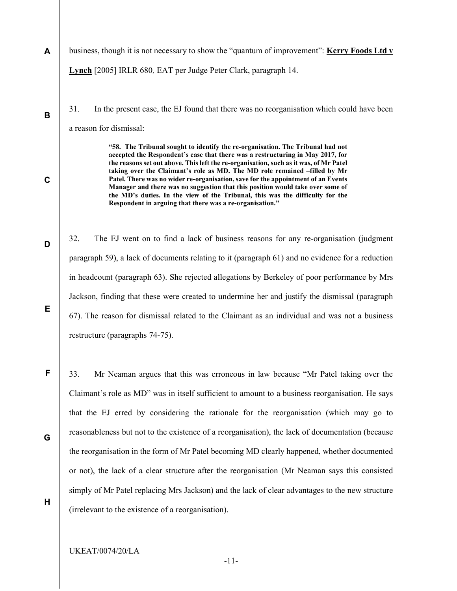- A business, though it is not necessary to show the "quantum of improvement": Kerry Foods Ltd v Lynch [2005] IRLR 680, EAT per Judge Peter Clark, paragraph 14.
	- 31. In the present case, the EJ found that there was no reorganisation which could have been a reason for dismissal:

"58. The Tribunal sought to identify the re-organisation. The Tribunal had not accepted the Respondent's case that there was a restructuring in May 2017, for the reasons set out above. This left the re-organisation, such as it was, of Mr Patel taking over the Claimant's role as MD. The MD role remained –filled by Mr Patel. There was no wider re-organisation, save for the appointment of an Events Manager and there was no suggestion that this position would take over some of the MD's duties. In the view of the Tribunal, this was the difficulty for the Respondent in arguing that there was a re-organisation."

32. The EJ went on to find a lack of business reasons for any re-organisation (judgment paragraph 59), a lack of documents relating to it (paragraph 61) and no evidence for a reduction in headcount (paragraph 63). She rejected allegations by Berkeley of poor performance by Mrs Jackson, finding that these were created to undermine her and justify the dismissal (paragraph 67). The reason for dismissal related to the Claimant as an individual and was not a business restructure (paragraphs 74-75).

33. Mr Neaman argues that this was erroneous in law because "Mr Patel taking over the Claimant's role as MD" was in itself sufficient to amount to a business reorganisation. He says that the EJ erred by considering the rationale for the reorganisation (which may go to reasonableness but not to the existence of a reorganisation), the lack of documentation (because the reorganisation in the form of Mr Patel becoming MD clearly happened, whether documented or not), the lack of a clear structure after the reorganisation (Mr Neaman says this consisted simply of Mr Patel replacing Mrs Jackson) and the lack of clear advantages to the new structure (irrelevant to the existence of a reorganisation).

B

C

D

E

G

F

H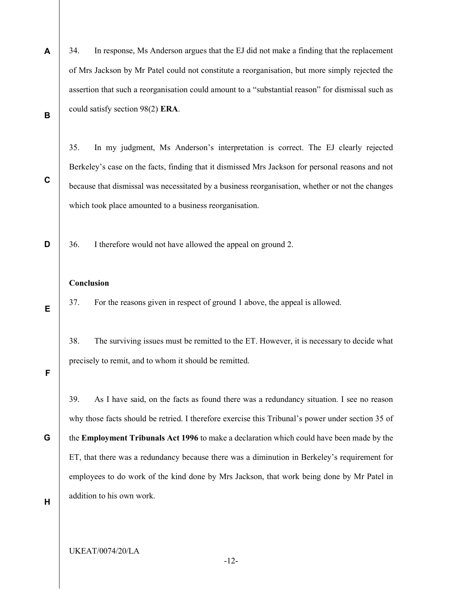A B 34. In response, Ms Anderson argues that the EJ did not make a finding that the replacement of Mrs Jackson by Mr Patel could not constitute a reorganisation, but more simply rejected the assertion that such a reorganisation could amount to a "substantial reason" for dismissal such as could satisfy section 98(2) ERA.

35. In my judgment, Ms Anderson's interpretation is correct. The EJ clearly rejected Berkeley's case on the facts, finding that it dismissed Mrs Jackson for personal reasons and not because that dismissal was necessitated by a business reorganisation, whether or not the changes which took place amounted to a business reorganisation.

36. I therefore would not have allowed the appeal on ground 2.

#### Conclusion

37. For the reasons given in respect of ground 1 above, the appeal is allowed.

38. The surviving issues must be remitted to the ET. However, it is necessary to decide what precisely to remit, and to whom it should be remitted.

F

C

D

E

39. As I have said, on the facts as found there was a redundancy situation. I see no reason why those facts should be retried. I therefore exercise this Tribunal's power under section 35 of

G the Employment Tribunals Act 1996 to make a declaration which could have been made by the ET, that there was a redundancy because there was a diminution in Berkeley's requirement for employees to do work of the kind done by Mrs Jackson, that work being done by Mr Patel in addition to his own work.

H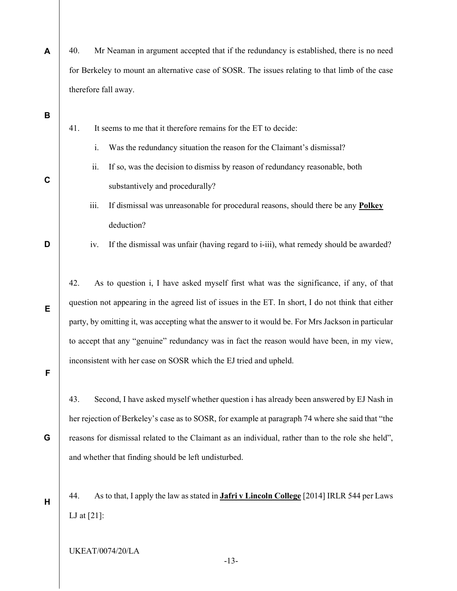| A           | Mr Neaman in argument accepted that if the redundancy is established, there is no need<br>40.           |  |  |  |  |
|-------------|---------------------------------------------------------------------------------------------------------|--|--|--|--|
|             | for Berkeley to mount an alternative case of SOSR. The issues relating to that limb of the case         |  |  |  |  |
|             | therefore fall away.                                                                                    |  |  |  |  |
| B           |                                                                                                         |  |  |  |  |
|             | It seems to me that it therefore remains for the ET to decide:<br>41.                                   |  |  |  |  |
|             | Was the redundancy situation the reason for the Claimant's dismissal?<br>i.                             |  |  |  |  |
|             | If so, was the decision to dismiss by reason of redundancy reasonable, both<br>ii.                      |  |  |  |  |
| $\mathbf C$ | substantively and procedurally?                                                                         |  |  |  |  |
|             | iii.<br>If dismissal was unreasonable for procedural reasons, should there be any Polkey                |  |  |  |  |
|             | deduction?                                                                                              |  |  |  |  |
| D           | If the dismissal was unfair (having regard to i-iii), what remedy should be awarded?<br>iv.             |  |  |  |  |
|             |                                                                                                         |  |  |  |  |
| Е           | 42.<br>As to question i, I have asked myself first what was the significance, if any, of that           |  |  |  |  |
|             | question not appearing in the agreed list of issues in the ET. In short, I do not think that either     |  |  |  |  |
|             | party, by omitting it, was accepting what the answer to it would be. For Mrs Jackson in particular      |  |  |  |  |
|             | to accept that any "genuine" redundancy was in fact the reason would have been, in my view,             |  |  |  |  |
| F           | inconsistent with her case on SOSR which the EJ tried and upheld.                                       |  |  |  |  |
|             |                                                                                                         |  |  |  |  |
|             | Second, I have asked myself whether question i has already been answered by EJ Nash in<br>43.           |  |  |  |  |
|             | her rejection of Berkeley's case as to SOSR, for example at paragraph 74 where she said that "the       |  |  |  |  |
| G           | reasons for dismissal related to the Claimant as an individual, rather than to the role she held",      |  |  |  |  |
|             | and whether that finding should be left undisturbed.                                                    |  |  |  |  |
|             |                                                                                                         |  |  |  |  |
| H           | As to that, I apply the law as stated in <b>Jafri v Lincoln College</b> [2014] IRLR 544 per Laws<br>44. |  |  |  |  |
|             | LJ at $[21]$ :                                                                                          |  |  |  |  |

UKEAT/0074/20/LA

-13-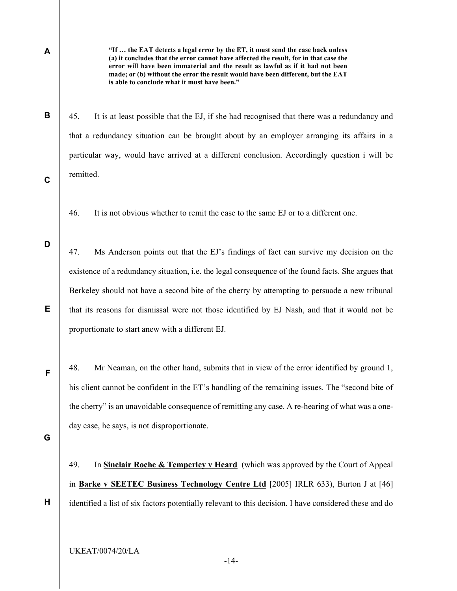B

C

D

E

A

"If … the EAT detects a legal error by the ET, it must send the case back unless (a) it concludes that the error cannot have affected the result, for in that case the error will have been immaterial and the result as lawful as if it had not been made; or (b) without the error the result would have been different, but the EAT is able to conclude what it must have been."

45. It is at least possible that the EJ, if she had recognised that there was a redundancy and that a redundancy situation can be brought about by an employer arranging its affairs in a particular way, would have arrived at a different conclusion. Accordingly question i will be remitted.

46. It is not obvious whether to remit the case to the same EJ or to a different one.

47. Ms Anderson points out that the EJ's findings of fact can survive my decision on the existence of a redundancy situation, i.e. the legal consequence of the found facts. She argues that Berkeley should not have a second bite of the cherry by attempting to persuade a new tribunal that its reasons for dismissal were not those identified by EJ Nash, and that it would not be proportionate to start anew with a different EJ.

48. Mr Neaman, on the other hand, submits that in view of the error identified by ground 1, his client cannot be confident in the ET's handling of the remaining issues. The "second bite of the cherry" is an unavoidable consequence of remitting any case. A re-hearing of what was a oneday case, he says, is not disproportionate.

G

H

F

49. In Sinclair Roche & Temperley v Heard (which was approved by the Court of Appeal in Barke v SEETEC Business Technology Centre Ltd [2005] IRLR 633), Burton J at [46] identified a list of six factors potentially relevant to this decision. I have considered these and do